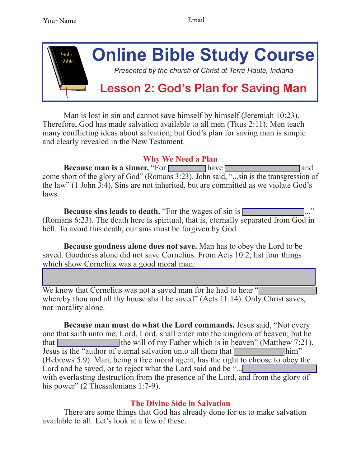

Man is lost in sin and cannot save himself by himself (Jeremiah 10:23). Therefore, God has made salvation available to all men (Titus 2:11). Men teach many conflicting ideas about salvation, but God's plan for saving man is simple and clearly revealed in the New Testament.

## **Why We Need a Plan**

**Because man is a sinner.** "For **have have have an** and come short of the glory of God" (Romans 3:23). John said, "...sin is the transgression of the law" (1 John 3:4). Sins are not inherited, but are committed as we violate God's laws.

**Because sins leads to death.** "For the wages of sin is  $\Box$ (Romans 6:23). The death here is spiritual, that is, eternally separated from God in hell. To avoid this death, our sins must be forgiven by God.

**Because goodness alone does not save.** Man has to obey the Lord to be saved. Goodness alone did not save Cornelius. From Acts 10:2, list four things which show Cornelius was a good moral man:

 $\mathcal{L}_\mathcal{L} = \mathcal{L}_\mathcal{L} = \mathcal{L}_\mathcal{L} = \mathcal{L}_\mathcal{L} = \mathcal{L}_\mathcal{L} = \mathcal{L}_\mathcal{L} = \mathcal{L}_\mathcal{L} = \mathcal{L}_\mathcal{L} = \mathcal{L}_\mathcal{L} = \mathcal{L}_\mathcal{L} = \mathcal{L}_\mathcal{L} = \mathcal{L}_\mathcal{L} = \mathcal{L}_\mathcal{L} = \mathcal{L}_\mathcal{L} = \mathcal{L}_\mathcal{L} = \mathcal{L}_\mathcal{L} = \mathcal{L}_\mathcal{L}$ We know that Cornelius was not a saved man for he had to hear " whereby thou and all thy house shall be saved" (Acts 11:14). Only Christ saves, not morality alone.

 $\mathcal{L}_\mathcal{L} = \mathcal{L}_\mathcal{L} = \mathcal{L}_\mathcal{L} = \mathcal{L}_\mathcal{L} = \mathcal{L}_\mathcal{L} = \mathcal{L}_\mathcal{L} = \mathcal{L}_\mathcal{L} = \mathcal{L}_\mathcal{L} = \mathcal{L}_\mathcal{L} = \mathcal{L}_\mathcal{L} = \mathcal{L}_\mathcal{L} = \mathcal{L}_\mathcal{L} = \mathcal{L}_\mathcal{L} = \mathcal{L}_\mathcal{L} = \mathcal{L}_\mathcal{L} = \mathcal{L}_\mathcal{L} = \mathcal{L}_\mathcal{L}$ 

**Because man must do what the Lord commands.** Jesus said. "Not every one that saith unto me, Lord, Lord, shall enter into the kingdom of heaven; but he that  $\Box$  the will of my Father which is in heaven" (Matthew 7:21). Jesus is the "author of eternal salvation unto all them that \_\_\_\_\_\_\_\_\_\_\_\_ him" (Hebrews 5:9). Man, being a free moral agent, has the right to choose to obey the Lord and be saved, or to reject what the Lord said and be " $\ldots$ with everlasting destruction from the presence of the Lord, and from the glory of his power" (2 Thessalonians 1:7-9).

## **The Divine Side in Salvation**

There are some things that God has already done for us to make salvation available to all. Let's look at a few of these.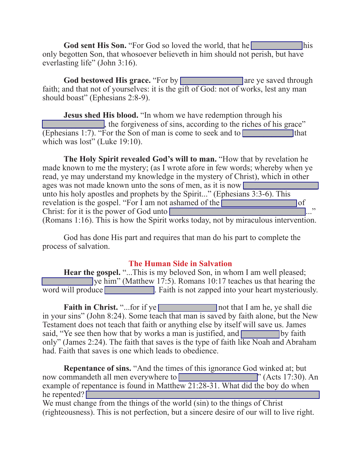God sent His Son. "For God so loved the world, that he **world** his only begotten Son, that whosoever believeth in him should not perish, but have everlasting life" (John 3:16).

God bestowed His grace. "For by **Example 2014** are ye saved through faith; and that not of yourselves: it is the gift of God: not of works, lest any man should boast" (Ephesians 2:8-9).

**Jesus shed His blood.** "In whom we have redemption through his \_\_\_\_\_\_\_\_\_\_\_\_\_\_\_, the forgiveness of sins, according to the riches of his grace"  $\boxed{\text{(Ephesians 1:7). "For the Son of man is come to seek and to }$  that which was lost" (Luke 19:10).

**The Holy Spirit revealed God's will to man.** "How that by revelation he made known to me the mystery; (as I wrote afore in few words; whereby when ye read, ye may understand my knowledge in the mystery of Christ), which in other ages was not made known unto the sons of men, as it is now  $\Box$ unto his holy apostles and prophets by the Spirit..." (Ephesians 3:3-6). This revelation is the gospel. "For  $\overline{I}$  am not ashamed of the  $\overline{I}$  of Christ: for it is the power of God unto  $\Box$ (Romans 1:16). This is how the Spirit works today, not by miraculous intervention.

 God has done His part and requires that man do his part to complete the process of salvation.

## **The Human Side in Salvation**

**Hear the gospel.** "...This is my beloved Son, in whom I am well pleased; we him" (Matthew 17:5). Romans 10:17 teaches us that hearing the word will produce Figure Faith is not zapped into your heart mysteriously.

**Faith in Christ.** "...for if ye **Let us and Section** not that I am he, ye shall die in your sins" (John 8:24). Some teach that man is saved by faith alone, but the New Testament does not teach that faith or anything else by itself will save us. James said, "Ye see then how that by works a man is justified, and by faith only" (James 2:24). The faith that saves is the type of faith like Noah and Abraham had. Faith that saves is one which leads to obedience.

**Repentance of sins.** "And the times of this ignorance God winked at; but now commandeth all men everywhere to **Example 20** (Acts 17:30). An example of repentance is found in Matthew 21:28-31. What did the boy do when he repented?  $\Box$ We must change from the things of the world (sin) to the things of Christ

(righteousness). This is not perfection, but a sincere desire of our will to live right.